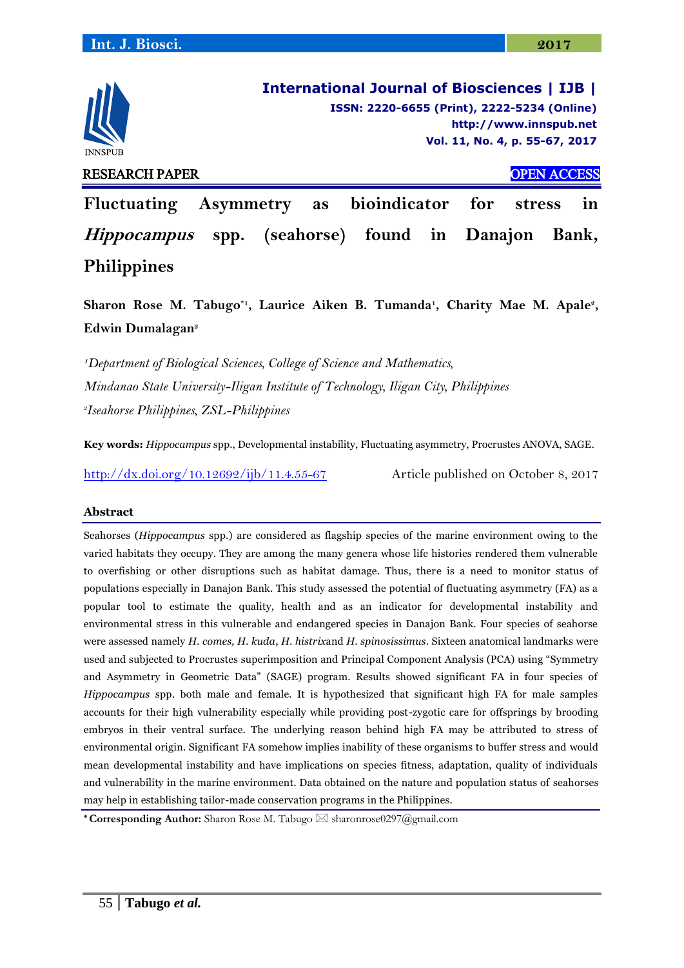

**International Journal of Biosciences | IJB | ISSN: 2220-6655 (Print), 2222-5234 (Online) [http://www.innspub.net](http://www.innspub.net/) Vol. 11, No. 4, p. 55-67, 2017**

**Fluctuating Asymmetry as bioindicator for stress in Hippocampus spp. (seahorse) found in Danajon Bank, Philippines**

Sharon Rose M. Tabugo<sup>\*1</sup>, Laurice Aiken B. Tumanda<sup>1</sup>, Charity Mae M. Apale<sup>2</sup>, **Edwin Dumalagan<sup>2</sup>**

**<sup>1</sup>***Department of Biological Sciences, College of Science and Mathematics, Mindanao State University-Iligan Institute of Technology, Iligan City, Philippines 2 Iseahorse Philippines, ZSL-Philippines*

**Key words:** *Hippocampus* spp., Developmental instability, Fluctuating asymmetry, Procrustes ANOVA, SAGE.

[http://dx.doi.org/10.12692/ijb/11.4.55-67](http://dx.doi.org/10.12692/ijb/11.4.55-5) Article published on October 8, 2017

## **Abstract**

Seahorses (*Hippocampus* spp.) are considered as flagship species of the marine environment owing to the varied habitats they occupy. They are among the many genera whose life histories rendered them vulnerable to overfishing or other disruptions such as habitat damage. Thus, there is a need to monitor status of populations especially in Danajon Bank. This study assessed the potential of fluctuating asymmetry (FA) as a popular tool to estimate the quality, health and as an indicator for developmental instability and environmental stress in this vulnerable and endangered species in Danajon Bank. Four species of seahorse were assessed namely *H. comes, H. kuda*, *H. histrix*and *H. spinosissimus*. Sixteen anatomical landmarks were used and subjected to Procrustes superimposition and Principal Component Analysis (PCA) using "Symmetry and Asymmetry in Geometric Data" (SAGE) program. Results showed significant FA in four species of *Hippocampus* spp. both male and female. It is hypothesized that significant high FA for male samples accounts for their high vulnerability especially while providing post-zygotic care for offsprings by brooding embryos in their ventral surface. The underlying reason behind high FA may be attributed to stress of environmental origin. Significant FA somehow implies inability of these organisms to buffer stress and would mean developmental instability and have implications on species fitness, adaptation, quality of individuals and vulnerability in the marine environment. Data obtained on the nature and population status of seahorses may help in establishing tailor-made conservation programs in the Philippines.

**\* Corresponding Author:** Sharon Rose M. Tabugo ⊠ sharonrose0297@gmail.com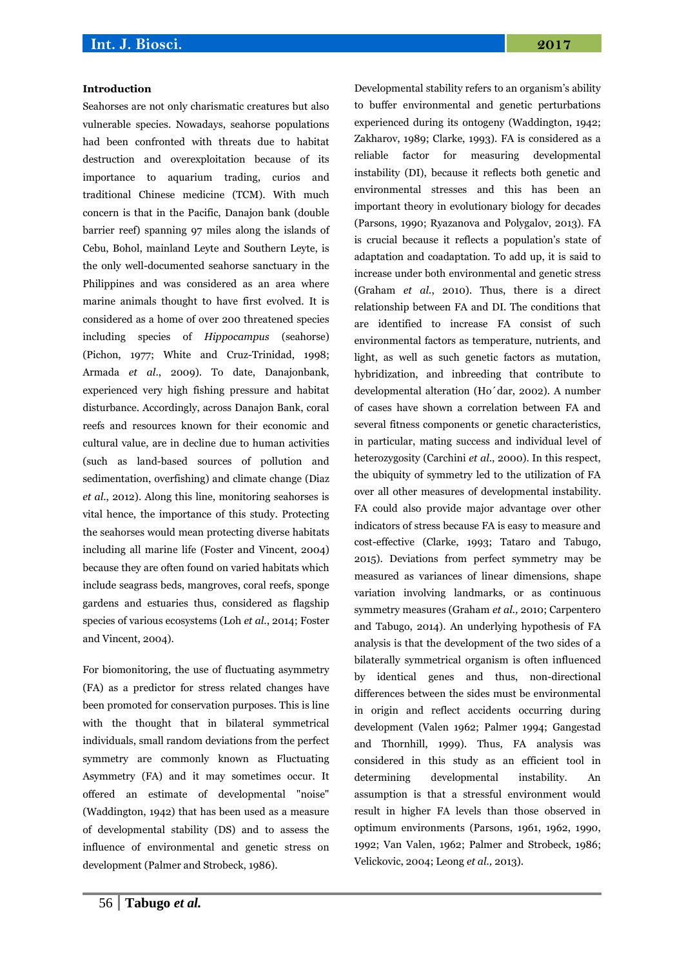### **Introduction**

Seahorses are not only charismatic creatures but also vulnerable species. Nowadays, seahorse populations had been confronted with threats due to habitat destruction and overexploitation because of its importance to aquarium trading, curios and traditional Chinese medicine (TCM). With much concern is that in the Pacific, Danajon bank (double barrier reef) spanning 97 miles along the islands of Cebu, Bohol, mainland Leyte and Southern Leyte, is the only well-documented seahorse sanctuary in the Philippines and was considered as an area where marine animals thought to have first evolved. It is considered as a home of over 200 threatened species including species of *Hippocampus* (seahorse) (Pichon, 1977; White and Cruz-Trinidad, 1998; Armada *et al*., 2009). To date, Danajonbank, experienced very high fishing pressure and habitat disturbance. Accordingly, across Danajon Bank, coral reefs and resources known for their economic and cultural value, are in decline due to human activities (such as land-based sources of pollution and sedimentation, overfishing) and climate change (Diaz *et al*., 2012). Along this line, monitoring seahorses is vital hence, the importance of this study. Protecting the seahorses would mean protecting diverse habitats including all marine life (Foster and Vincent, 2004) because they are often found on varied habitats which include seagrass beds, mangroves, coral reefs, sponge gardens and estuaries thus, considered as flagship species of various ecosystems (Loh *et al*., 2014; Foster and Vincent, 2004).

For biomonitoring, the use of fluctuating asymmetry (FA) as a predictor for stress related changes have been promoted for conservation purposes. This is line with the thought that in bilateral symmetrical individuals, small random deviations from the perfect symmetry are commonly known as Fluctuating Asymmetry (FA) and it may sometimes occur. It offered an estimate of developmental "noise" (Waddington, 1942) that has been used as a measure of developmental stability (DS) and to assess the influence of environmental and genetic stress on development (Palmer and Strobeck, 1986).

to buffer environmental and genetic perturbations experienced during its ontogeny (Waddington, 1942; Zakharov, 1989; Clarke, 1993). FA is considered as a reliable factor for measuring developmental instability (DI), because it reflects both genetic and environmental stresses and this has been an important theory in evolutionary biology for decades (Parsons, 1990; Ryazanova and Polygalov, 2013). FA is crucial because it reflects a population's state of adaptation and coadaptation. To add up, it is said to increase under both environmental and genetic stress (Graham *et al.*, 2010). Thus, there is a direct relationship between FA and DI. The conditions that are identified to increase FA consist of such environmental factors as temperature, nutrients, and light, as well as such genetic factors as mutation, hybridization, and inbreeding that contribute to developmental alteration (Ho´dar, 2002). A number of cases have shown a correlation between FA and several fitness components or genetic characteristics, in particular, mating success and individual level of heterozygosity (Carchini *et al*., 2000). In this respect, the ubiquity of symmetry led to the utilization of FA over all other measures of developmental instability. FA could also provide major advantage over other indicators of stress because FA is easy to measure and cost-effective (Clarke, 1993; Tataro and Tabugo, 2015). Deviations from perfect symmetry may be measured as variances of linear dimensions, shape variation involving landmarks, or as continuous symmetry measures (Graham *et al.,* 2010; Carpentero and Tabugo, 2014). An underlying hypothesis of FA analysis is that the development of the two sides of a bilaterally symmetrical organism is often influenced by identical genes and thus, non-directional differences between the sides must be environmental in origin and reflect accidents occurring during development (Valen 1962; Palmer 1994; Gangestad and Thornhill, 1999). Thus, FA analysis was considered in this study as an efficient tool in determining developmental instability. An assumption is that a stressful environment would result in higher FA levels than those observed in optimum environments (Parsons, 1961, 1962, 1990, 1992; Van Valen, 1962; Palmer and Strobeck, 1986; Velickovic, 2004; Leong *et al.,* 2013).

Developmental stability refers to an organism's ability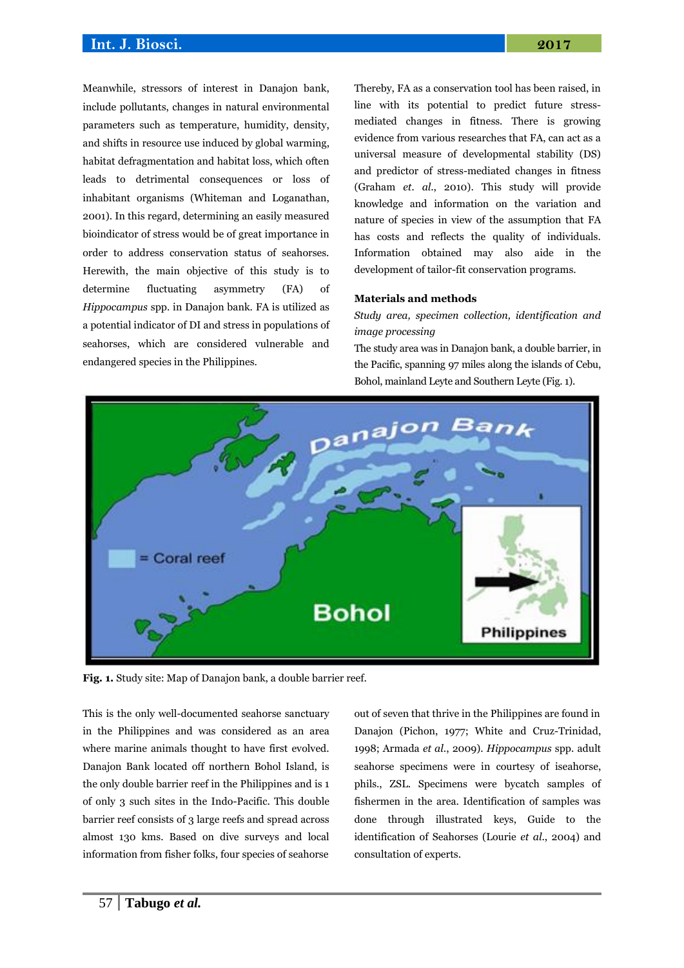Meanwhile, stressors of interest in Danajon bank, include pollutants, changes in natural environmental parameters such as temperature, humidity, density, and shifts in resource use induced by global warming, habitat defragmentation and habitat loss, which often leads to detrimental consequences or loss of inhabitant organisms (Whiteman and Loganathan, 2001). In this regard, determining an easily measured bioindicator of stress would be of great importance in order to address conservation status of seahorses. Herewith, the main objective of this study is to determine fluctuating asymmetry (FA) of *Hippocampus* spp. in Danajon bank. FA is utilized as a potential indicator of DI and stress in populations of seahorses, which are considered vulnerable and endangered species in the Philippines.

Thereby, FA as a conservation tool has been raised, in line with its potential to predict future stressmediated changes in fitness. There is growing evidence from various researches that FA, can act as a universal measure of developmental stability (DS) and predictor of stress-mediated changes in fitness (Graham *et. al*., 2010). This study will provide knowledge and information on the variation and nature of species in view of the assumption that FA has costs and reflects the quality of individuals. Information obtained may also aide in the development of tailor-fit conservation programs.

#### **Materials and methods**

*Study area, specimen collection, identification and image processing*

The study area was in Danajon bank, a double barrier, in the Pacific, spanning 97 miles along the islands of Cebu, Bohol, mainland Leyte and Southern Leyte (Fig. 1).



**Fig. 1.** Study site: Map of Danajon bank, a double barrier reef.

This is the only well-documented seahorse sanctuary in the Philippines and was considered as an area where marine animals thought to have first evolved. Danajon Bank located off northern Bohol Island, is the only double barrier reef in the Philippines and is 1 of only 3 such sites in the Indo-Pacific. This double barrier reef consists of 3 large reefs and spread across almost 130 kms. Based on dive surveys and local information from fisher folks, four species of seahorse

out of seven that thrive in the Philippines are found in Danajon (Pichon, 1977; White and Cruz-Trinidad, 1998; Armada *et al*., 2009). *Hippocampus* spp. adult seahorse specimens were in courtesy of iseahorse, phils., ZSL. Specimens were bycatch samples of fishermen in the area. Identification of samples was done through illustrated keys, Guide to the identification of Seahorses (Lourie *et al*., 2004) and consultation of experts.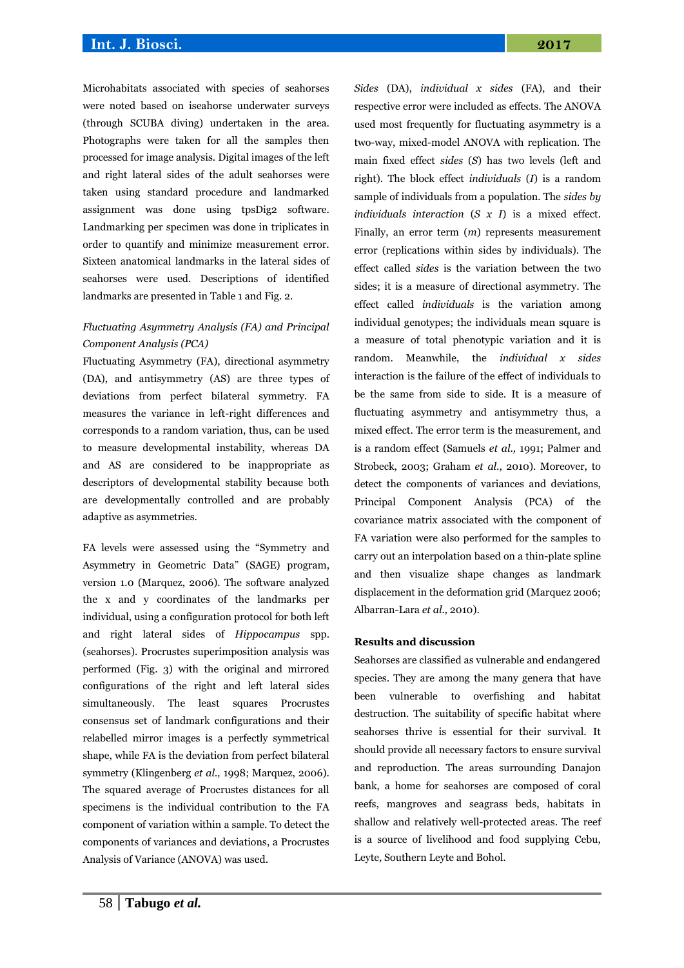Microhabitats associated with species of seahorses were noted based on iseahorse underwater surveys (through SCUBA diving) undertaken in the area. Photographs were taken for all the samples then processed for image analysis. Digital images of the left and right lateral sides of the adult seahorses were taken using standard procedure and landmarked assignment was done using tpsDig2 software. Landmarking per specimen was done in triplicates in order to quantify and minimize measurement error. Sixteen anatomical landmarks in the lateral sides of seahorses were used. Descriptions of identified landmarks are presented in Table 1 and Fig. 2.

# *Fluctuating Asymmetry Analysis (FA) and Principal Component Analysis (PCA)*

Fluctuating Asymmetry (FA), directional asymmetry (DA), and antisymmetry (AS) are three types of deviations from perfect bilateral symmetry. FA measures the variance in left-right differences and corresponds to a random variation, thus, can be used to measure developmental instability, whereas DA and AS are considered to be inappropriate as descriptors of developmental stability because both are developmentally controlled and are probably adaptive as asymmetries.

FA levels were assessed using the "Symmetry and Asymmetry in Geometric Data" (SAGE) program, version 1.0 (Marquez, 2006). The software analyzed the x and y coordinates of the landmarks per individual, using a configuration protocol for both left and right lateral sides of *Hippocampus* spp. (seahorses). Procrustes superimposition analysis was performed (Fig. 3) with the original and mirrored configurations of the right and left lateral sides simultaneously. The least squares Procrustes consensus set of landmark configurations and their relabelled mirror images is a perfectly symmetrical shape, while FA is the deviation from perfect bilateral symmetry (Klingenberg *et al.,* 1998; Marquez, 2006). The squared average of Procrustes distances for all specimens is the individual contribution to the FA component of variation within a sample. To detect the components of variances and deviations, a Procrustes Analysis of Variance (ANOVA) was used.

*Sides* (DA), *individual x sides* (FA), and their respective error were included as effects. The ANOVA used most frequently for fluctuating asymmetry is a two-way, mixed-model ANOVA with replication. The main fixed effect *sides* (*S*) has two levels (left and right). The block effect *individuals* (*I*) is a random sample of individuals from a population. The *sides by individuals interaction* (*S x I*) is a mixed effect. Finally, an error term (*m*) represents measurement error (replications within sides by individuals). The effect called *sides* is the variation between the two sides; it is a measure of directional asymmetry. The effect called *individuals* is the variation among individual genotypes; the individuals mean square is a measure of total phenotypic variation and it is random. Meanwhile, the *individual x sides* interaction is the failure of the effect of individuals to be the same from side to side. It is a measure of fluctuating asymmetry and antisymmetry thus, a mixed effect. The error term is the measurement, and is a random effect (Samuels *et al.,* 1991; Palmer and Strobeck, 2003; Graham *et al*., 2010). Moreover, to detect the components of variances and deviations, Principal Component Analysis (PCA) of the covariance matrix associated with the component of FA variation were also performed for the samples to carry out an interpolation based on a thin-plate spline and then visualize shape changes as landmark displacement in the deformation grid (Marquez 2006; Albarran-Lara *et al.,* 2010).

#### **Results and discussion**

Seahorses are classified as vulnerable and endangered species. They are among the many genera that have been vulnerable to overfishing and habitat destruction. The suitability of specific habitat where seahorses thrive is essential for their survival. It should provide all necessary factors to ensure survival and reproduction. The areas surrounding Danajon bank, a home for seahorses are composed of coral reefs, mangroves and seagrass beds, habitats in shallow and relatively well-protected areas. The reef is a source of livelihood and food supplying Cebu, Leyte, Southern Leyte and Bohol.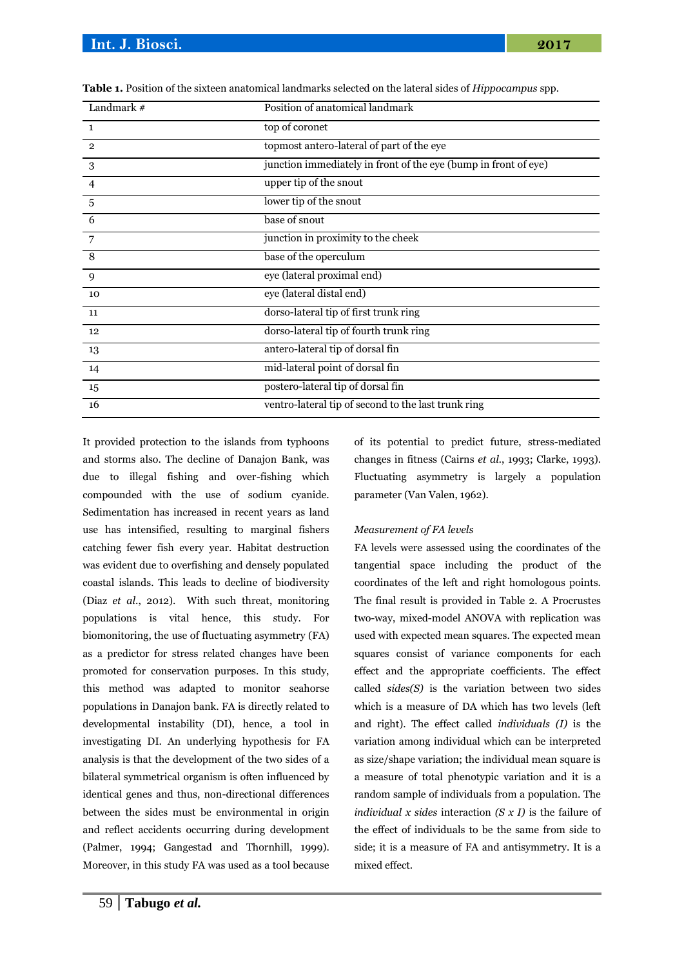| Landmark $#$   | Position of anatomical landmark                                 |  |  |  |  |
|----------------|-----------------------------------------------------------------|--|--|--|--|
| $\mathbf{1}$   | top of coronet                                                  |  |  |  |  |
| $\overline{2}$ | topmost antero-lateral of part of the eye                       |  |  |  |  |
| 3              | junction immediately in front of the eye (bump in front of eye) |  |  |  |  |
| 4              | upper tip of the snout                                          |  |  |  |  |
| 5              | lower tip of the snout                                          |  |  |  |  |
| 6              | base of snout                                                   |  |  |  |  |
| 7              | junction in proximity to the cheek                              |  |  |  |  |
| 8              | base of the operculum                                           |  |  |  |  |
| 9              | eye (lateral proximal end)                                      |  |  |  |  |
| 10             | eye (lateral distal end)                                        |  |  |  |  |
| 11             | dorso-lateral tip of first trunk ring                           |  |  |  |  |
| 12             | dorso-lateral tip of fourth trunk ring                          |  |  |  |  |
| 13             | antero-lateral tip of dorsal fin                                |  |  |  |  |
| 14             | mid-lateral point of dorsal fin                                 |  |  |  |  |
| 15             | postero-lateral tip of dorsal fin                               |  |  |  |  |
| 16             | ventro-lateral tip of second to the last trunk ring             |  |  |  |  |

**Table 1.** Position of the sixteen anatomical landmarks selected on the lateral sides of *Hippocampus* spp.

It provided protection to the islands from typhoons and storms also. The decline of Danajon Bank, was due to illegal fishing and over-fishing which compounded with the use of sodium cyanide. Sedimentation has increased in recent years as land use has intensified, resulting to marginal fishers catching fewer fish every year. Habitat destruction was evident due to overfishing and densely populated coastal islands. This leads to decline of biodiversity (Diaz *et al*., 2012). With such threat, monitoring populations is vital hence, this study. For biomonitoring, the use of fluctuating asymmetry (FA) as a predictor for stress related changes have been promoted for conservation purposes. In this study, this method was adapted to monitor seahorse populations in Danajon bank. FA is directly related to developmental instability (DI), hence, a tool in investigating DI. An underlying hypothesis for FA analysis is that the development of the two sides of a bilateral symmetrical organism is often influenced by identical genes and thus, non-directional differences between the sides must be environmental in origin and reflect accidents occurring during development (Palmer, 1994; Gangestad and Thornhill, 1999). Moreover, in this study FA was used as a tool because of its potential to predict future, stress-mediated changes in fitness (Cairns *et al.*, 1993; Clarke, 1993). Fluctuating asymmetry is largely a population parameter (Van Valen, 1962).

#### *Measurement of FA levels*

FA levels were assessed using the coordinates of the tangential space including the product of the coordinates of the left and right homologous points. The final result is provided in Table 2. A Procrustes two-way, mixed-model ANOVA with replication was used with expected mean squares. The expected mean squares consist of variance components for each effect and the appropriate coefficients. The effect called *sides(S)* is the variation between two sides which is a measure of DA which has two levels (left and right). The effect called *individuals (I)* is the variation among individual which can be interpreted as size/shape variation; the individual mean square is a measure of total phenotypic variation and it is a random sample of individuals from a population. The *individual x sides* interaction *(S x I)* is the failure of the effect of individuals to be the same from side to side; it is a measure of FA and antisymmetry. It is a mixed effect.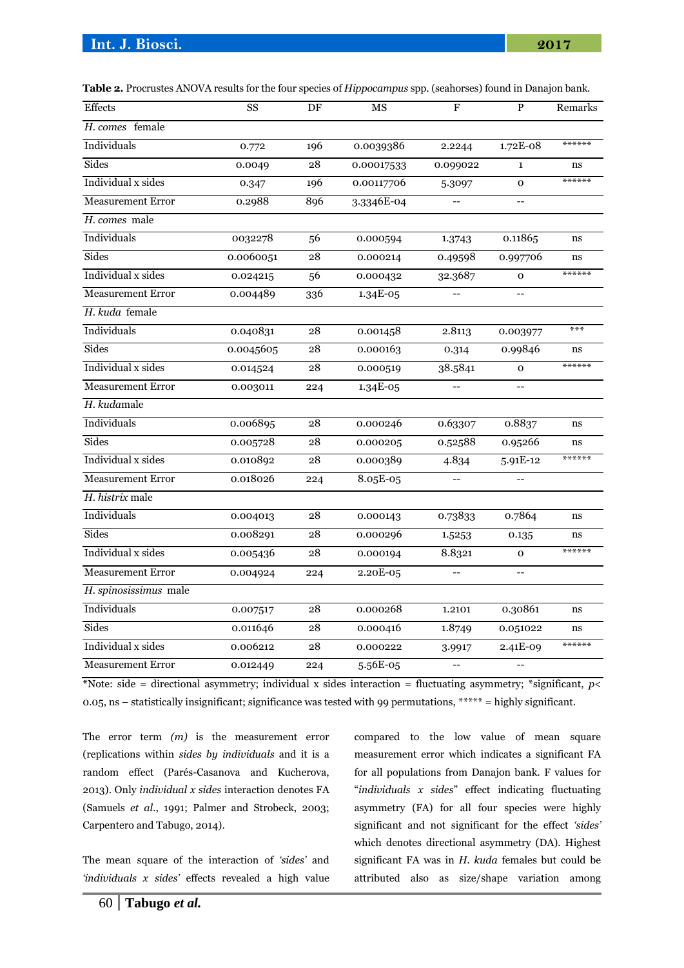| Table 2. Procrustes ANOVA results for the four species of <i>Hippocampus</i> spp. (seahorses) found in Danajon bank. |    |    |    |  |         |
|----------------------------------------------------------------------------------------------------------------------|----|----|----|--|---------|
| Effects                                                                                                              | SS | DF | МS |  | Remarks |

| <b>E</b> ttects          | SS        | DF  | МS<br>F            |                          | Ρ              | Remarks |
|--------------------------|-----------|-----|--------------------|--------------------------|----------------|---------|
| H. comes female          |           |     |                    |                          |                |         |
| Individuals              | 0.772     | 196 | 0.0039386          | 2.2244                   | 1.72E-08       | ******  |
| Sides                    | 0.0049    | 28  | 0.00017533         | 0.099022                 | $\mathbf{1}$   | ns      |
| Individual x sides       | 0.347     | 196 | 0.00117706         | 5.3097                   | $\mathbf 0$    | ******  |
| <b>Measurement Error</b> | 0.2988    | 896 | 3.3346E-04         | $\overline{\phantom{a}}$ | $-$            |         |
| H. comes male            |           |     |                    |                          |                |         |
| Individuals              | 0032278   | 56  | 0.000594           | 1.3743                   | 0.11865        | ns      |
| Sides                    | 0.0060051 | 28  | 0.000214           | 0.49598                  | 0.997706       | ns      |
| Individual x sides       | 0.024215  | 56  | 0.000432           | 32.3687                  | $\mathbf{O}$   | ******  |
| <b>Measurement Error</b> | 0.004489  | 336 | $1.34E-05$         |                          | $\overline{a}$ |         |
| H. kuda female           |           |     |                    |                          |                |         |
| Individuals              | 0.040831  | 28  | 0.001458           | 2.8113                   | 0.003977       | ***     |
| Sides                    | 0.0045605 | 28  | 0.000163           | 0.314                    | 0.99846        | ns      |
| Individual x sides       | 0.014524  | 28  | 0.000519           | 38.5841                  | $\mathbf{o}$   | ******  |
| <b>Measurement Error</b> | 0.003011  | 224 | 1.34E-05           |                          |                |         |
| H. kudamale              |           |     |                    |                          |                |         |
| Individuals              | 0.006895  | 28  | 0.000246           | 0.63307                  | 0.8837         | ns      |
| Sides                    | 0.005728  | 28  | 0.000205           | 0.52588                  | 0.95266        | ns      |
| Individual x sides       | 0.010892  | 28  | 0.000389           | 4.834                    | $5.91E-12$     | ******  |
| <b>Measurement Error</b> | 0.018026  | 224 | 8.05E-05           |                          |                |         |
| H. histrix male          |           |     |                    |                          |                |         |
| Individuals              | 0.004013  | 28  | 0.000143           | 0.73833                  | 0.7864         | ns      |
| Sides                    | 0.008291  | 28  | 0.000296           | 1.5253                   | 0.135          | ns      |
| Individual x sides       | 0.005436  | 28  | 0.000194           | 8.8321                   | $\mathbf 0$    | ******  |
| <b>Measurement Error</b> | 0.004924  | 224 | 2.20E-05           | $-$                      | $-$            |         |
| H. spinosissimus male    |           |     |                    |                          |                |         |
| Individuals              | 0.007517  | 28  | 0.000268           | 1.2101                   | 0.30861        | ns      |
| Sides                    | 0.011646  | 28  | 1.8749<br>0.000416 |                          | 0.051022       | ns      |
| Individual x sides       | 0.006212  | 28  | 0.000222           | 2.41E-09<br>3.9917       |                | ******  |
| <b>Measurement Error</b> | 0.012449  | 224 | 5.56E-05           | $-$                      | $-$            |         |

**\***Note: side = directional asymmetry; individual x sides interaction = fluctuating asymmetry; \*significant, *p*< 0.05, ns – statistically insignificant; significance was tested with 99 permutations, \*\*\*\*\* = highly significant.

The error term *(m)* is the measurement error (replications within *sides by individuals* and it is a random effect (Parés-Casanova and Kucherova, 2013). Only *individual x sides* interaction denotes FA (Samuels *et al*., 1991; Palmer and Strobeck, 2003; Carpentero and Tabugo, 2014).

The mean square of the interaction of *'sides'* and *'individuals x sides'* effects revealed a high value compared to the low value of mean square measurement error which indicates a significant FA for all populations from Danajon bank. F values for "*individuals x sides*" effect indicating fluctuating asymmetry (FA) for all four species were highly significant and not significant for the effect *'sides'*  which denotes directional asymmetry (DA). Highest significant FA was in *H. kuda* females but could be attributed also as size/shape variation among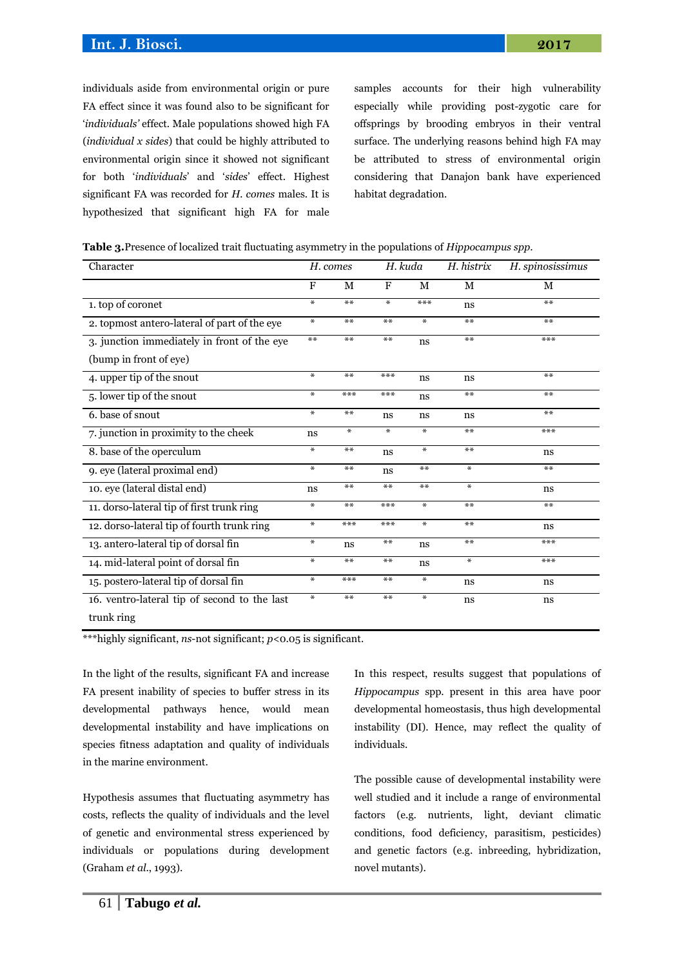individuals aside from environmental origin or pure FA effect since it was found also to be significant for '*individuals'* effect. Male populations showed high FA (*individual x sides*) that could be highly attributed to environmental origin since it showed not significant for both '*individuals*' and '*sides*' effect. Highest significant FA was recorded for *H. comes* males. It is hypothesized that significant high FA for male samples accounts for their high vulnerability especially while providing post-zygotic care for offsprings by brooding embryos in their ventral surface. The underlying reasons behind high FA may be attributed to stress of environmental origin considering that Danajon bank have experienced habitat degradation.

| Table 3. Presence of localized trait fluctuating asymmetry in the populations of Hippocampus spp. |  |  |
|---------------------------------------------------------------------------------------------------|--|--|
|---------------------------------------------------------------------------------------------------|--|--|

| Character                                    |        | H. comes |                | H. kuda | H. histrix | H. spinosissimus |
|----------------------------------------------|--------|----------|----------------|---------|------------|------------------|
|                                              | F      | M        | $\mathbf F$    | М       | M          | М                |
| 1. top of coronet                            | $\ast$ | $***$    | $\ast$         | ***     | ns         | $***$            |
| 2. topmost antero-lateral of part of the eye | $\ast$ | $***$    | **             | $\ast$  | **         | $***$            |
| 3. junction immediately in front of the eye  | $***$  | $***$    | **             | ns      | **         | ***              |
| (bump in front of eye)                       |        |          |                |         |            |                  |
| 4. upper tip of the snout                    | $\ast$ | $***$    | ***            | ns      | ns         | **               |
| 5. lower tip of the snout                    | $\ast$ | ***      | ***            | ns      | **         | $***$            |
| 6. base of snout                             | $\ast$ | $***$    | ns             | ns      | ns         | $***$            |
| 7. junction in proximity to the cheek        | ns     | $\ast$   | $\pmb{\times}$ | $\ast$  | $**$       | ***              |
| 8. base of the operculum                     | $\ast$ | $***$    | ns             | ₩       | $**$       | ns               |
| 9. eye (lateral proximal end)                | $\ast$ | $***$    | ns             | $***$   | $\ast$     | $***$            |
| 10. eye (lateral distal end)                 | ns     | $***$    | **             | **      | $\ast$     | ns               |
| 11. dorso-lateral tip of first trunk ring    | $\ast$ | $***$    | ***            | $\ast$  | $**$       | $***$            |
| 12. dorso-lateral tip of fourth trunk ring   | ₩      | ***      | ***            | $\ast$  | **         | ns               |
| 13. antero-lateral tip of dorsal fin         | $\ast$ | ns       | **             | ns      | $**$       | ***              |
| 14. mid-lateral point of dorsal fin          | $\ast$ | $***$    | **             | ns      | $\ast$     | ***              |
| 15. postero-lateral tip of dorsal fin        | $\ast$ | ***      | **             | $\ast$  | ns         | ns               |
| 16. ventro-lateral tip of second to the last | $\ast$ | $***$    | **             | $\ast$  | ns         | ns               |
| المستخلص والمستحدث                           |        |          |                |         |            |                  |

trunk ring

\*\*\*highly significant, *ns*-not significant; *p*<0.05 is significant.

In the light of the results, significant FA and increase FA present inability of species to buffer stress in its developmental pathways hence, would mean developmental instability and have implications on species fitness adaptation and quality of individuals in the marine environment.

Hypothesis assumes that fluctuating asymmetry has costs, reflects the quality of individuals and the level of genetic and environmental stress experienced by individuals or populations during development (Graham *et al*., 1993).

In this respect, results suggest that populations of *Hippocampus* spp. present in this area have poor developmental homeostasis, thus high developmental instability (DI). Hence, may reflect the quality of individuals.

The possible cause of developmental instability were well studied and it include a range of environmental factors (e.g. nutrients, light, deviant climatic conditions, food deficiency, parasitism, pesticides) and genetic factors (e.g. inbreeding, hybridization, novel mutants).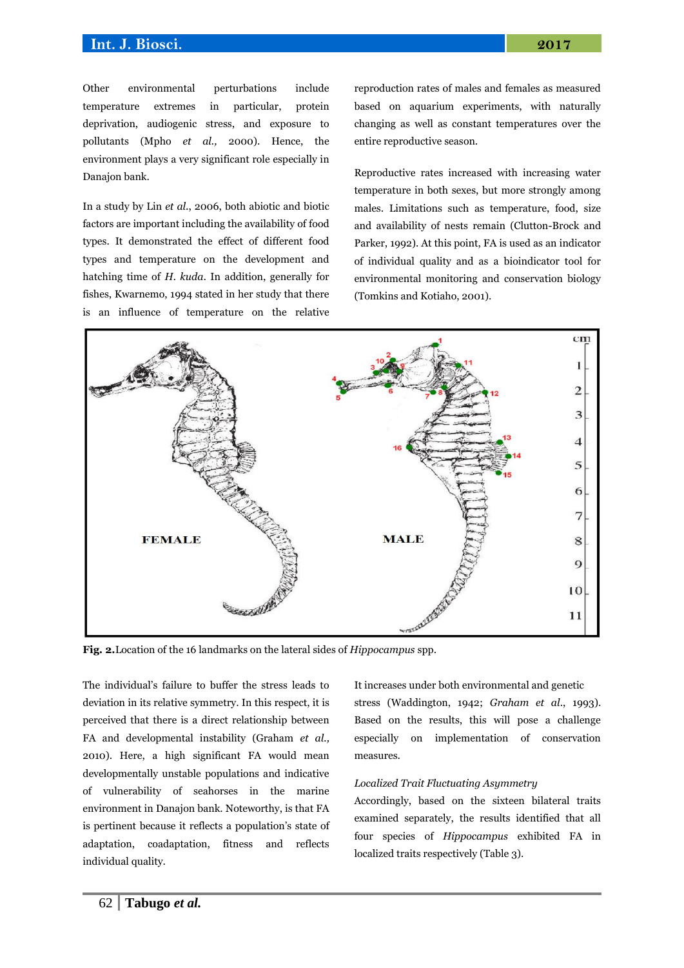Other environmental perturbations include temperature extremes in particular, protein deprivation, audiogenic stress, and exposure to pollutants (Mpho *et al.,* 2000). Hence, the environment plays a very significant role especially in Danajon bank.

In a study by Lin *et al*., 2006, both abiotic and biotic factors are important including the availability of food types. It demonstrated the effect of different food types and temperature on the development and hatching time of *H. kuda*. In addition, generally for fishes, Kwarnemo, 1994 stated in her study that there is an influence of temperature on the relative reproduction rates of males and females as measured based on aquarium experiments, with naturally changing as well as constant temperatures over the entire reproductive season.

Reproductive rates increased with increasing water temperature in both sexes, but more strongly among males. Limitations such as temperature, food, size and availability of nests remain (Clutton-Brock and Parker, 1992). At this point, FA is used as an indicator of individual quality and as a bioindicator tool for environmental monitoring and conservation biology (Tomkins and Kotiaho, 2001).



**Fig. 2.**Location of the 16 landmarks on the lateral sides of *Hippocampus* spp.

The individual's failure to buffer the stress leads to deviation in its relative symmetry. In this respect, it is perceived that there is a direct relationship between FA and developmental instability (Graham *et al.,* 2010). Here, a high significant FA would mean developmentally unstable populations and indicative of vulnerability of seahorses in the marine environment in Danajon bank. Noteworthy, is that FA is pertinent because it reflects a population's state of adaptation, coadaptation, fitness and reflects individual quality.

It increases under both environmental and genetic stress (Waddington, 1942; *Graham et al*., 1993). Based on the results, this will pose a challenge especially on implementation of conservation measures.

#### *Localized Trait Fluctuating Asymmetry*

Accordingly, based on the sixteen bilateral traits examined separately, the results identified that all four species of *Hippocampus* exhibited FA in localized traits respectively (Table 3).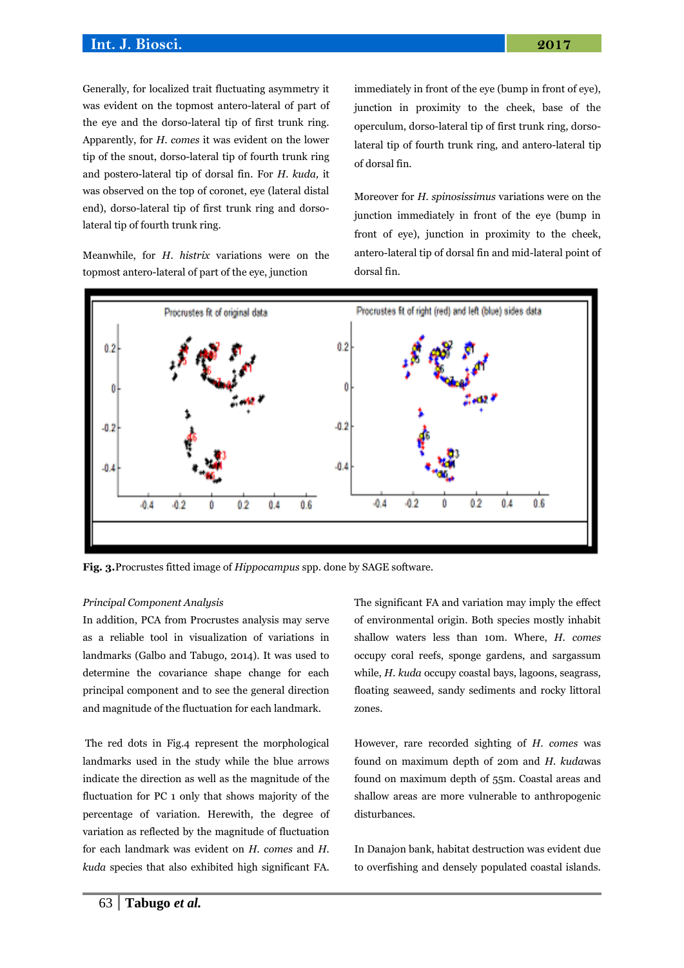Generally, for localized trait fluctuating asymmetry it was evident on the topmost antero-lateral of part of the eye and the dorso-lateral tip of first trunk ring. Apparently, for *H. comes* it was evident on the lower tip of the snout, dorso-lateral tip of fourth trunk ring and postero-lateral tip of dorsal fin. For *H. kuda,* it was observed on the top of coronet, eye (lateral distal end), dorso-lateral tip of first trunk ring and dorsolateral tip of fourth trunk ring.

Meanwhile, for *H. histrix* variations were on the topmost antero-lateral of part of the eye, junction

immediately in front of the eye (bump in front of eye), junction in proximity to the cheek, base of the operculum, dorso-lateral tip of first trunk ring, dorsolateral tip of fourth trunk ring, and antero-lateral tip of dorsal fin.

Moreover for *H. spinosissimus* variations were on the junction immediately in front of the eye (bump in front of eye), junction in proximity to the cheek, antero-lateral tip of dorsal fin and mid-lateral point of dorsal fin.



**Fig. 3.**Procrustes fitted image of *Hippocampus* spp. done by SAGE software.

#### *Principal Component Analysis*

In addition, PCA from Procrustes analysis may serve as a reliable tool in visualization of variations in landmarks (Galbo and Tabugo, 2014). It was used to determine the covariance shape change for each principal component and to see the general direction and magnitude of the fluctuation for each landmark.

The red dots in Fig.4 represent the morphological landmarks used in the study while the blue arrows indicate the direction as well as the magnitude of the fluctuation for PC 1 only that shows majority of the percentage of variation. Herewith, the degree of variation as reflected by the magnitude of fluctuation for each landmark was evident on *H. comes* and *H. kuda* species that also exhibited high significant FA. The significant FA and variation may imply the effect of environmental origin. Both species mostly inhabit shallow waters less than 10m. Where, *H. comes* occupy coral reefs, sponge gardens, and sargassum while, *H. kuda* occupy coastal bays, lagoons, seagrass, floating seaweed, sandy sediments and rocky littoral zones.

However, rare recorded sighting of *H. comes* was found on maximum depth of 20m and *H. kuda*was found on maximum depth of 55m. Coastal areas and shallow areas are more vulnerable to anthropogenic disturbances.

In Danajon bank, habitat destruction was evident due to overfishing and densely populated coastal islands.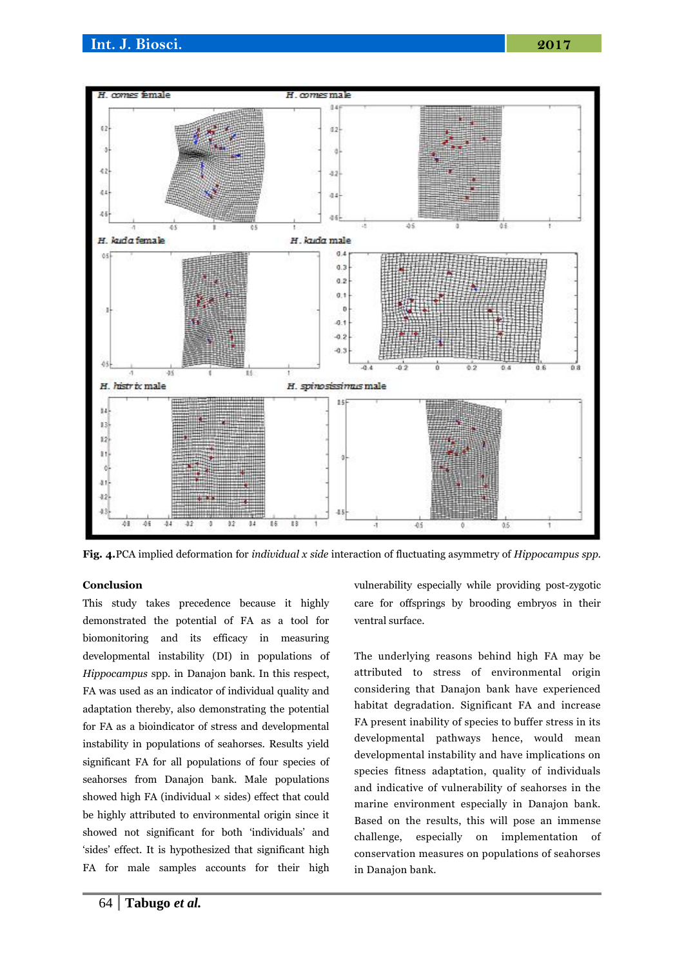

**Fig. 4.**PCA implied deformation for *individual x side* interaction of fluctuating asymmetry of *Hippocampus spp.*

## **Conclusion**

This study takes precedence because it highly demonstrated the potential of FA as a tool for biomonitoring and its efficacy in measuring developmental instability (DI) in populations of *Hippocampus* spp. in Danajon bank. In this respect, FA was used as an indicator of individual quality and adaptation thereby, also demonstrating the potential for FA as a bioindicator of stress and developmental instability in populations of seahorses. Results yield significant FA for all populations of four species of seahorses from Danajon bank. Male populations showed high FA (individual  $\times$  sides) effect that could be highly attributed to environmental origin since it showed not significant for both 'individuals' and 'sides' effect. It is hypothesized that significant high FA for male samples accounts for their high

habitat degradation. Significant FA and increase FA present inability of species to buffer stress in its

ventral surface.

developmental pathways hence, would mean developmental instability and have implications on species fitness adaptation, quality of individuals and indicative of vulnerability of seahorses in the marine environment especially in Danajon bank. Based on the results, this will pose an immense challenge, especially on implementation of conservation measures on populations of seahorses in Danajon bank.

vulnerability especially while providing post-zygotic care for offsprings by brooding embryos in their

The underlying reasons behind high FA may be attributed to stress of environmental origin considering that Danajon bank have experienced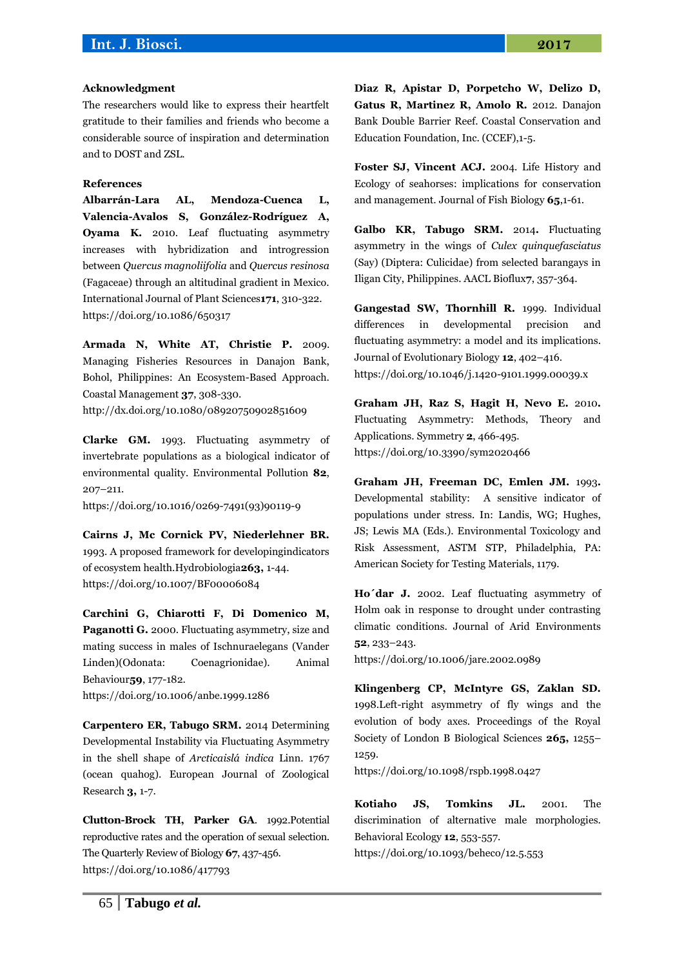#### **Acknowledgment**

The researchers would like to express their heartfelt gratitude to their families and friends who become a considerable source of inspiration and determination and to DOST and ZSL.

### **References**

**Albarrán-Lara AL, Mendoza-Cuenca L, Valencia-Avalos S, González-Rodríguez A, Oyama K.** 2010. Leaf fluctuating asymmetry increases with hybridization and introgression between *Quercus magnoliifolia* and *Quercus resinosa*  (Fagaceae) through an altitudinal gradient in Mexico. International Journal of Plant Sciences**171**, 310-322. <https://doi.org/10.1086/650317>

**Armada N, White AT, Christie P.** 2009. Managing Fisheries Resources in Danajon Bank, Bohol, Philippines: An Ecosystem-Based Approach. Coastal Management **37**, 308-330.

<http://dx.doi.org/10.1080/08920750902851609>

**Clarke GM.** 1993. Fluctuating asymmetry of invertebrate populations as a biological indicator of environmental quality. Environmental Pollution **82**, 207–211.

[https://doi.org/10.1016/0269-7491\(93\)90119-9](https://doi.org/10.1016/0269-7491(93)90119-9)

**Cairns J, Mc Cornick PV, Niederlehner BR.**  1993. A proposed framework for developingindicators of ecosystem health.Hydrobiologia**263,** 1-44. <https://doi.org/10.1007/BF00006084>

**Carchini G, Chiarotti F, Di Domenico M, Paganotti G.** 2000. Fluctuating asymmetry, size and mating success in males of Ischnuraelegans (Vander Linden)(Odonata: Coenagrionidae). Animal Behaviour**59**, 177-182. <https://doi.org/10.1006/anbe.1999.1286>

**Carpentero ER, Tabugo SRM.** 2014 Determining Developmental Instability via Fluctuating Asymmetry in the shell shape of *Arcticaislá indica* Linn. 1767 (ocean quahog). European Journal of Zoological Research **3,** 1-7.

**Clutton-Brock TH, Parker GA**. 1992.Potential reproductive rates and the operation of sexual selection. The Quarterly Review of Biology **67**, 437-456. <https://doi.org/10.1086/417793>

**Diaz R, Apistar D, Porpetcho W, Delizo D, Gatus R, Martinez R, Amolo R.** 2012. Danajon Bank Double Barrier Reef. Coastal Conservation and Education Foundation, Inc. (CCEF),1-5.

**Foster SJ, Vincent ACJ.** 2004. Life History and Ecology of seahorses: implications for conservation and management. Journal of Fish Biology **65**,1-61.

**Galbo KR, Tabugo SRM.** 2014**.** Fluctuating asymmetry in the wings of *Culex quinquefasciatus* (Say) (Diptera: Culicidae) from selected barangays in Iligan City, Philippines. AACL Bioflux**7**, 357-364.

**Gangestad SW, Thornhill R.** 1999. Individual differences in developmental precision and fluctuating asymmetry: a model and its implications. Journal of Evolutionary Biology **12**, 402–416. <https://doi.org/10.1046/j.1420-9101.1999.00039.x>

**Graham JH, Raz S, Hagit H, Nevo E.** 2010**.** Fluctuating Asymmetry: Methods, Theory and Applications. Symmetry **2**, 466-495. <https://doi.org/10.3390/sym2020466>

**Graham JH, Freeman DC, Emlen JM.** 1993**.** Developmental stability: A sensitive indicator of populations under stress. In: Landis, WG; Hughes, JS; Lewis MA (Eds.). Environmental Toxicology and Risk Assessment, ASTM STP, Philadelphia, PA: American Society for Testing Materials, 1179.

**Ho´dar J.** 2002. Leaf fluctuating asymmetry of Holm oak in response to drought under contrasting climatic conditions. Journal of Arid Environments **52**, 233–243.

<https://doi.org/10.1006/jare.2002.0989>

**Klingenberg CP, McIntyre GS, Zaklan SD.**  1998.Left-right asymmetry of fly wings and the evolution of body axes. Proceedings of the Royal Society of London B Biological Sciences **265,** 1255– 1259.

<https://doi.org/10.1098/rspb.1998.0427>

**Kotiaho JS, Tomkins JL.** 2001. The discrimination of alternative male morphologies. Behavioral Ecology **12**, 553-557.

<https://doi.org/10.1093/beheco/12.5.553>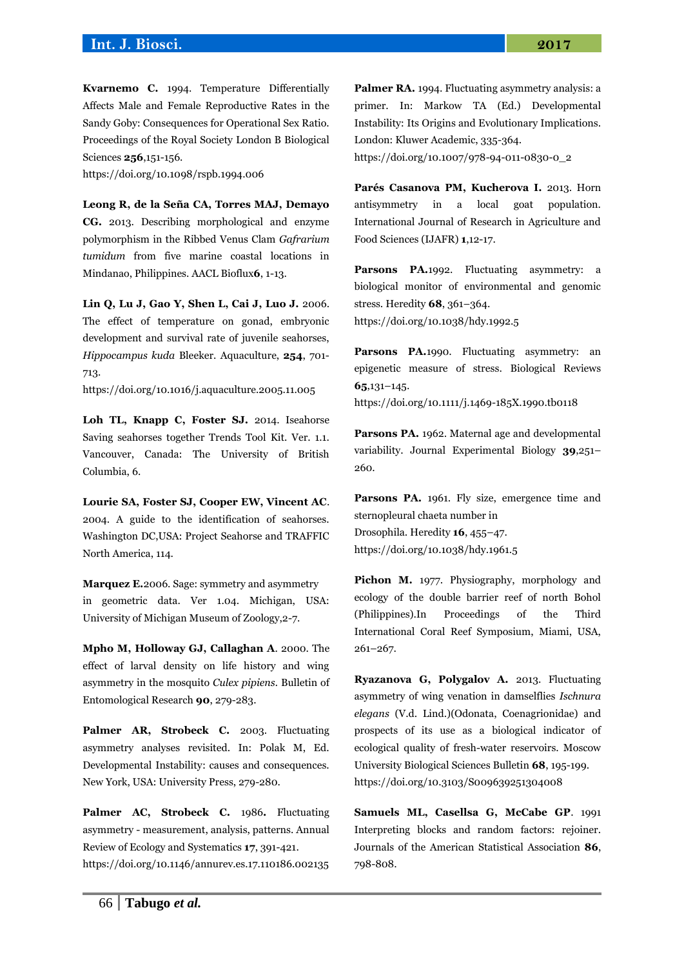**Kvarnemo C.** 1994. Temperature Differentially Affects Male and Female Reproductive Rates in the Sandy Goby: Consequences for Operational Sex Ratio. Proceedings of the Royal Society London B Biological Sciences **256**,151-156.

<https://doi.org/10.1098/rspb.1994.006>

**Leong R, de la Seña CA, Torres MAJ, Demayo CG.** 2013. Describing morphological and enzyme polymorphism in the Ribbed Venus Clam *Gafrarium tumidum* from five marine coastal locations in Mindanao, Philippines. AACL Bioflux**6**, 1-13.

**Lin Q, Lu J, Gao Y, Shen L, Cai J, Luo J.** 2006. The effect of temperature on gonad, embryonic development and survival rate of juvenile seahorses, *Hippocampus kuda* Bleeker. Aquaculture, **254**, 701- 713.

<https://doi.org/10.1016/j.aquaculture.2005.11.005>

**Loh TL, Knapp C, Foster SJ.** 2014. Iseahorse Saving seahorses together Trends Tool Kit. Ver. 1.1. Vancouver, Canada: The University of British Columbia, 6.

**Lourie SA, Foster SJ, Cooper EW, Vincent AC**. 2004. A guide to the identification of seahorses. Washington DC,USA: Project Seahorse and TRAFFIC North America, 114.

**Marquez E.**2006. Sage: symmetry and asymmetry in geometric data. Ver 1.04. Michigan, USA: University of Michigan Museum of Zoology,2-7.

**Mpho M, Holloway GJ, Callaghan A**. 2000. The effect of larval density on life history and wing asymmetry in the mosquito *Culex pipiens.* Bulletin of Entomological Research **90**, 279-283.

Palmer AR, Strobeck C. 2003. Fluctuating asymmetry analyses revisited. In: Polak M, Ed. Developmental Instability: causes and consequences. New York, USA: University Press, 279-280.

Palmer AC, Strobeck C. 1986. Fluctuating asymmetry - measurement, analysis, patterns. Annual Review of Ecology and Systematics **17**, 391-421. <https://doi.org/10.1146/annurev.es.17.110186.002135> **Palmer RA.** 1994. Fluctuating asymmetry analysis: a primer. In: Markow TA (Ed.) Developmental Instability: Its Origins and Evolutionary Implications. London: Kluwer Academic, 335-364.

[https://doi.org/10.1007/978-94-011-0830-0\\_2](https://doi.org/10.1007/978-94-011-0830-0_2)

**Parés Casanova PM, Kucherova I.** 2013. Horn antisymmetry in a local goat population. International Journal of Research in Agriculture and Food Sciences (IJAFR) **1**,12-17.

**Parsons PA.**1992. Fluctuating asymmetry: a biological monitor of environmental and genomic stress. Heredity **68**, 361–364. <https://doi.org/10.1038/hdy.1992.5>

Parsons PA.1990. Fluctuating asymmetry: an epigenetic measure of stress. Biological Reviews **65**,131–145.

<https://doi.org/10.1111/j.1469-185X.1990.tb0118>

**Parsons PA.** 1962. Maternal age and developmental variability. Journal Experimental Biology **39**,251– 260.

Parsons PA. 1961. Fly size, emergence time and sternopleural chaeta number in Drosophila. Heredity **16**, 455–47. <https://doi.org/10.1038/hdy.1961.5>

**Pichon M.** 1977. Physiography, morphology and ecology of the double barrier reef of north Bohol (Philippines).In Proceedings of the Third International Coral Reef Symposium, Miami, USA, 261–267.

**Ryazanova G, Polygalov A.** 2013. Fluctuating asymmetry of wing venation in damselflies *Ischnura elegans* (V.d. Lind.)(Odonata, Coenagrionidae) and prospects of its use as a biological indicator of ecological quality of fresh-water reservoirs. Moscow University Biological Sciences Bulletin **68**, 195-199. <https://doi.org/10.3103/S009639251304008>

**Samuels ML, Casellsa G, McCabe GP**. 1991 Interpreting blocks and random factors: rejoiner. Journals of the American Statistical Association **86**, 798-808.